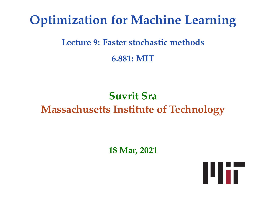# **Optimization for Machine Learning**

#### **Lecture 9: Faster stochastic methods**

**6.881: MIT**

# **Suvrit Sra Massachusetts Institute of Technology**

**18 Mar, 2021**

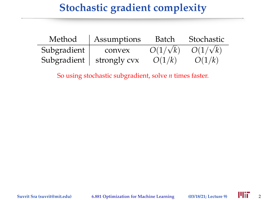## **Stochastic gradient complexity**

| Method      | Assumptions  | Batch           | Stochastic      |
|-------------|--------------|-----------------|-----------------|
| Subgradient | convex       | $O(1/\sqrt{k})$ | $O(1/\sqrt{k})$ |
| Subgradient | strongly cvx | O(1/k)          | O(1/k)          |

So using stochastic subgradient, solve *n* times faster.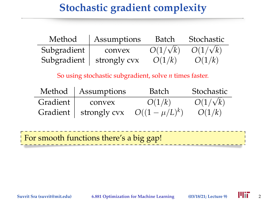## **Stochastic gradient complexity**

| Method      | Assumptions  | Batch           | Stochastic      |
|-------------|--------------|-----------------|-----------------|
| Subgradient | convex       | $O(1/\sqrt{k})$ | $O(1/\sqrt{k})$ |
| Subgradient | strongly cvx | O(1/k)          | O(1/k)          |

So using stochastic subgradient, solve *n* times faster.

|          | Method   Assumptions    | Batch            | Stochastic      |
|----------|-------------------------|------------------|-----------------|
| Gradient | convex                  | O(1/k)           | $O(1/\sqrt{k})$ |
|          | Gradient   strongly cvx | $O((1-\mu/L)^k)$ | O(1/k)          |

For smooth functions there's a big gap!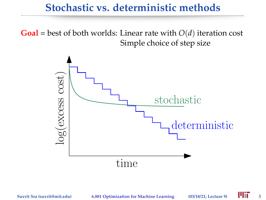#### **Stochastic vs. deterministic methods**

**Goal** = best of both worlds: Linear rate with  $O(d)$  iteration cost Simple choice of step size

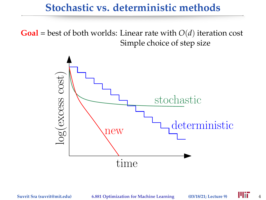#### **Stochastic vs. deterministic methods**

**Goal** = best of both worlds: Linear rate with  $O(d)$  iteration cost Simple choice of step size

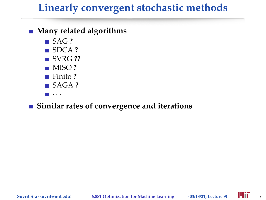## **Linearly convergent stochastic methods**

#### **Many related algorithms**

- SAG ?
- SDCA **?**
- **SVRG ??**
- MISO **?**
- Finito **?**
- SAGA **?**
- $\blacksquare$  . . .

#### **Similar rates of convergence and iterations**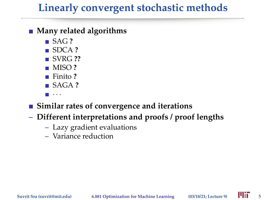## **Linearly convergent stochastic methods**

#### **Many related algorithms**

- SAG ?
- SDCA **?**
- SVRG ??
- MISO **?**
- Finito **?**
- SAGA **?**
- · · · **I**

#### **Similar rates of convergence and iterations**

- **Different interpretations and proofs / proof lengths**
	- Lazy gradient evaluations
	- Variance reduction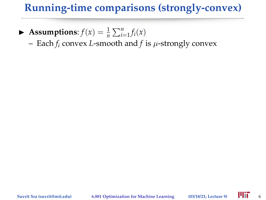### **Running-time comparisons (strongly-convex)**

- $\blacktriangleright$  **Assumptions**:  $f(x) = \frac{1}{n} \sum_{i=1}^{n} f_i(x)$ 
	- Each *f<sup>i</sup>* convex *L*-smooth and *f* is µ-strongly convex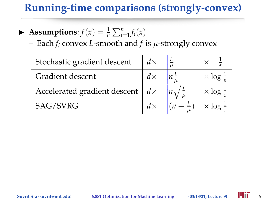### **Running-time comparisons (strongly-convex)**

- $\blacktriangleright$  **Assumptions**:  $f(x) = \frac{1}{n} \sum_{i=1}^{n} f_i(x)$ 
	- Each  $f_i$  convex *L*-smooth and  $f$  is  $\mu$ -strongly convex

| Stochastic gradient descent  | $d\times$  | $\mu$ |                            |
|------------------------------|------------|-------|----------------------------|
| Gradient descent             |            |       | $\times$ log $\frac{1}{5}$ |
| Accelerated gradient descent | $d \times$ |       | $\times$ log $\frac{1}{5}$ |
| SAG/SVRG                     |            |       | $\times$ log $\frac{1}{5}$ |
|                              |            |       |                            |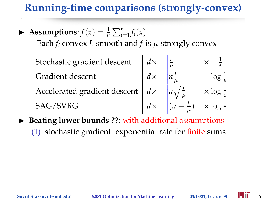## **Running-time comparisons (strongly-convex)**

- $\blacktriangleright$  **Assumptions**:  $f(x) = \frac{1}{n} \sum_{i=1}^{n} f_i(x)$ 
	- Each  $f_i$  convex *L*-smooth and  $f$  is  $\mu$ -strongly convex

| Stochastic gradient descent  | $d\times$  |                            |
|------------------------------|------------|----------------------------|
| Gradient descent             |            | $\times$ log $\frac{1}{5}$ |
| Accelerated gradient descent | $d \times$ | $\times$ log $\frac{1}{5}$ |
| SAG/SVRG                     |            | $\times$ log $\frac{1}{5}$ |
|                              |            |                            |

- ▶ Beating lower bounds ??: with additional assumptions
	- (1) stochastic gradient: exponential rate for finite sums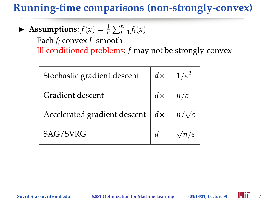## **Running-time comparisons (non-strongly-convex)**

- $\blacktriangleright$  **Assumptions**:  $f(x) = \frac{1}{n} \sum_{i=1}^{n} f_i(x)$ 
	- Each *f<sup>i</sup>* convex *L*-smooth
	- Ill conditioned problems: *f* may not be strongly-convex

| Stochastic gradient descent         | $d \times$ |                 |
|-------------------------------------|------------|-----------------|
| Gradient descent                    | $d \times$ | $n/\varepsilon$ |
| Accelerated gradient descent $  dx$ |            |                 |
| SAG/SVRG                            |            |                 |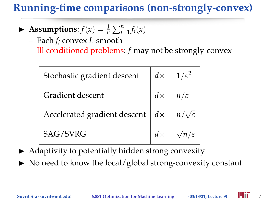## **Running-time comparisons (non-strongly-convex)**

- $\blacktriangleright$  **Assumptions**:  $f(x) = \frac{1}{n} \sum_{i=1}^{n} f_i(x)$ 
	- Each *f<sup>i</sup>* convex *L*-smooth
	- Ill conditioned problems: *f* may not be strongly-convex

| Stochastic gradient descent                  | $d \times$ |  |
|----------------------------------------------|------------|--|
| Gradient descent                             | $d \times$ |  |
| Accelerated gradient descent $\mid d \times$ |            |  |
| <b>SAG/SVRG</b>                              |            |  |

- $\blacktriangleright$  Adaptivity to potentially hidden strong convexity
- $\triangleright$  No need to know the local/global strong-convexity constant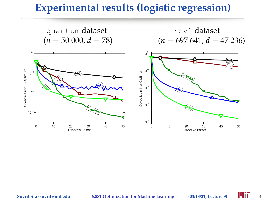#### **Experimental results (logistic regression)**

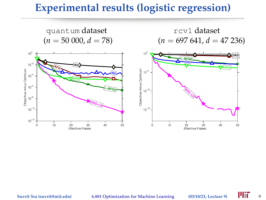#### **Experimental results (logistic regression)**

quantum dataset<br>  $(n = 50000, d = 78)$ <br>  $(n = 697641, d = 697641)$ 

 $(n = 697 641, d = 47 236)$ 

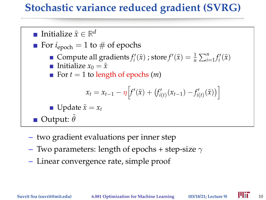### **Stochastic variance reduced gradient (SVRG)**



- two gradient evaluations per inner step
- Two parameters: length of epochs + step-size  $\gamma$
- Linear convergence rate, simple proof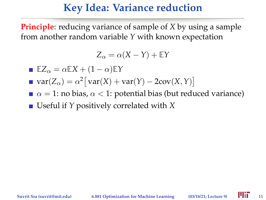#### **Key Idea: Variance reduction**

**Principle**: reducing variance of sample of *X* by using a sample from another random variable *Y* with known expectation

$$
Z_{\alpha} = \alpha(X - Y) + \mathbb{E}Y
$$

**E**  $\mathbb{E}Z_{\alpha} = \alpha \mathbb{E}X + (1 - \alpha)\mathbb{E}Y$ 

- $var(Z_\alpha) = \alpha^2 \left[ var(X) + var(Y) 2cov(X, Y) \right]$
- $\alpha = 1$ : no bias,  $\alpha < 1$ : potential bias (but reduced variance)

■ Useful if *Y* positively correlated with *X*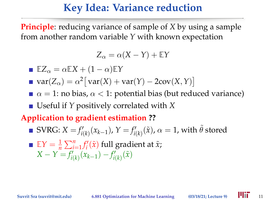#### **Key Idea: Variance reduction**

**Principle**: reducing variance of sample of *X* by using a sample from another random variable *Y* with known expectation

$$
Z_{\alpha} = \alpha(X - Y) + \mathbb{E}Y
$$

**E**  $\mathbb{E}Z_{\alpha} = \alpha \mathbb{E}X + (1 - \alpha)\mathbb{E}Y$ 

- $var(Z_\alpha) = \alpha^2 \left[ var(X) + var(Y) 2cov(X, Y) \right]$
- $\alpha = 1$ : no bias,  $\alpha < 1$ : potential bias (but reduced variance) ■ Useful if *Y* positively correlated with *X*

#### **Application to gradient estimation ??**

 $\text{SWRG: } X = f'_{i(k)}(x_{k-1}), \, Y = f'_{i(k)}(\tilde{x}), \, \alpha = 1, \, \text{with} \; \tilde{\theta} \; \text{stored}$  $\mathbb{E}Y = \frac{1}{n} \sum_{i=1}^{n} f'_i(\tilde{x})$  full gradient at  $\tilde{x}$ ;  $X - Y = f'_{i(k)}(x_{k-1}) - f'_{i(k)}(\tilde{x})$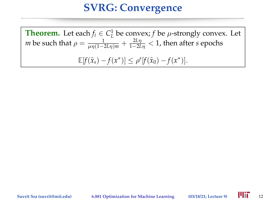**Theorem.** Let each  $f_i \in C^1_L$  be convex;  $f$  be  $\mu$ -strongly convex. Let *m* be such that  $\rho = \frac{1}{\mu \eta (1-2L\eta)m} + \frac{2L\eta}{1-2L\eta} < 1$ , then after *s* epochs  $\mathbb{E}[f(\tilde{x}_s) - f(x^*)] \leq \rho^s[f(\tilde{x}_0) - f(x^*)].$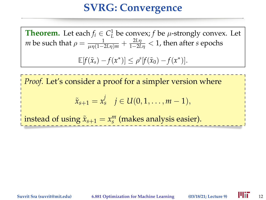**Theorem.** Let each  $f_i \in C^1_L$  be convex;  $f$  be  $\mu$ -strongly convex. Let *m* be such that  $\rho = \frac{1}{\mu \eta (1-2L\eta)m} + \frac{2L\eta}{1-2L\eta} < 1$ , then after *s* epochs  $\mathbb{E}[f(\tilde{x}_s) - f(x^*)] \leq \rho^s[f(\tilde{x}_0) - f(x^*)].$ 

*Proof.* Let's consider a proof for a simpler version where

$$
\tilde{x}_{s+1} = x_s^j \quad j \in U(0,1,\ldots,m-1),
$$

instead of using  $\tilde{x}_{s+1} = x_s^m$  (makes analysis easier).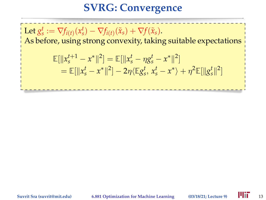Let  $g_s^t := \nabla f_{i(t)}(x_s^t) - \nabla f_{i(t)}(\tilde{x}_s) + \nabla f(\tilde{x}_s)$ . As before, using strong convexity, taking suitable expectations  $\mathbb{E}[\|x_s^{t+1} - x^*\|^2] = \mathbb{E}[\|x_s^t - \eta g_s^t - x^*\|^2]$  $=\mathbb{E}[\|x_s^t - x^*\|^2] - 2\eta \langle \mathbb{E}g_s^t, x_s^t - x^* \rangle + \eta^2 \mathbb{E}[\|g_s^t\|^2]$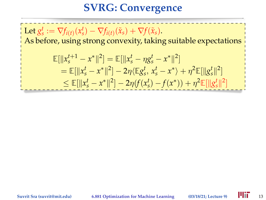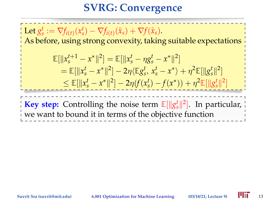Let  $g_s^t := \nabla f_{i(t)}(x_s^t) - \nabla f_{i(t)}(\tilde{x}_s) + \nabla f(\tilde{x}_s)$ . As before, using strong convexity, taking suitable expectations  $\mathbb{E}[\|x_s^{t+1} - x^*\|^2] = \mathbb{E}[\|x_s^t - \eta g_s^t - x^*\|^2]$  $=\mathbb{E}[\|x_s^t - x^*\|^2] - 2\eta \langle \mathbb{E}g_s^t, x_s^t - x^* \rangle + \eta^2 \mathbb{E}[\|g_s^t\|^2]$  $\leq \mathbb{E}[\|x_s^t - x^*\|^2] - 2\eta(f(x_s^t) - f(x^*)) + \eta^2 \mathbb{E}[\|g_s^t\|^2]$ **Key step:** Controlling the noise term  $\mathbb{E}[\Vert g_s^t \Vert^2]$ . In particular, we want to bound it in terms of the objective function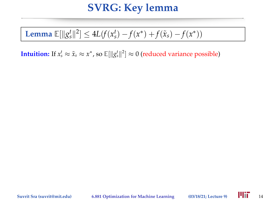**Lemma** 
$$
\mathbb{E}[\|g_s^t\|^2] \leq 4L(f(x_s^t) - f(x^*) + f(\tilde{x}_s) - f(x^*))
$$

**Intuition:** If  $x_s^t \approx \tilde{x}_s \approx x^*$ , so  $\mathbb{E}[\Vert g_s^t \Vert^2] \approx 0$  (reduced variance possible)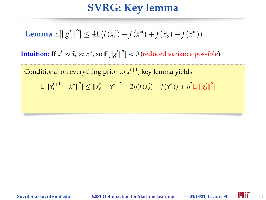**Lemma** 
$$
\mathbb{E}[\|g_s^t\|^2] \leq 4L(f(x_s^t) - f(x^*) + f(\tilde{x}_s) - f(x^*))
$$

**Intuition:** If  $x_s^t \approx \tilde{x}_s \approx x^*$ , so  $\mathbb{E}[\Vert g_s^t \Vert^2] \approx 0$  (reduced variance possible)

Conditional on everything prior to  $x_s^{t+1}$ , key lemma yields

 $\mathbb{E}[\|x^{t+1}_s - x^*\|^2] \leq \|x^t_s - x^*\|^2 - 2\eta (f(x^t_s) - f(x^*)) + \eta^2 \mathbb{E}[\|g^t_s\|^2]$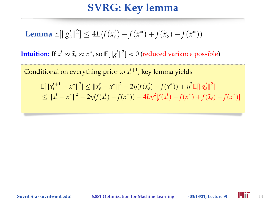**Lemma** 
$$
\mathbb{E}[\|g_s^t\|^2] \leq 4L(f(x_s^t) - f(x^*) + f(\tilde{x}_s) - f(x^*))
$$

**Intuition:** If  $x_s^t \approx \tilde{x}_s \approx x^*$ , so  $\mathbb{E}[\Vert g_s^t \Vert^2] \approx 0$  (reduced variance possible)

Conditional on everything prior to  $x_s^{t+1}$ , key lemma yields  $\mathbb{E}[\|x^{t+1}_s - x^*\|^2] \leq \|x^t_s - x^*\|^2 - 2\eta (f(x^t_s) - f(x^*)) + \eta^2 \mathbb{E}[\|g^t_s\|^2]$  $\leq ||x_s^t - x^*||^2 - 2\eta (f(x_s^t) - f(x^*)) + 4L\eta^2 [f(x_s^t) - f(x^*) + f(\tilde{x}_s) - f(x^*)]$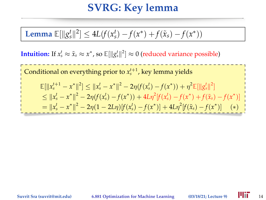**Lemma** 
$$
\mathbb{E}[\|g_s^t\|^2] \leq 4L(f(x_s^t) - f(x^*) + f(\tilde{x}_s) - f(x^*))
$$

**Intuition:** If  $x_s^t \approx \tilde{x}_s \approx x^*$ , so  $\mathbb{E}[\Vert g_s^t \Vert^2] \approx 0$  (reduced variance possible)

Conditional on everything prior to  $x_s^{t+1}$ , key lemma yields  $\mathbb{E}[\|x^{t+1}_s - x^*\|^2] \leq \|x^t_s - x^*\|^2 - 2\eta (f(x^t_s) - f(x^*)) + \eta^2 \mathbb{E}[\|g^t_s\|^2]$  $\leq ||x_s^t - x^*||^2 - 2\eta (f(x_s^t) - f(x^*)) + 4L\eta^2 [f(x_s^t) - f(x^*) + f(\tilde{x}_s) - f(x^*)]$  $\begin{aligned} \mathcal{L} &= \|\mathbf{x}_s^t - \mathbf{x}^*\|^2 - 2\eta(1 - 2L\eta)[f(\mathbf{x}_s^t) - f(\mathbf{x}^*)] + 4L\eta^2[f(\tilde{\mathbf{x}}_s) - f(\mathbf{x}^*)] \end{aligned}$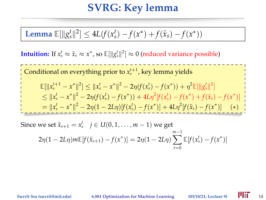**Lemma** 
$$
\mathbb{E}[\|g_s^t\|^2] \leq 4L(f(x_s^t) - f(x^*) + f(\tilde{x}_s) - f(x^*))
$$

**Intuition:** If  $x_s^t \approx \tilde{x}_s \approx x^*$ , so  $\mathbb{E}[\Vert g_s^t \Vert^2] \approx 0$  (reduced variance possible)

Conditional on everything prior to  $x_s^{t+1}$ , key lemma yields  $\mathbb{E}[\|x^{t+1}_s - x^*\|^2] \leq \|x^t_s - x^*\|^2 - 2\eta (f(x^t_s) - f(x^*)) + \eta^2 \mathbb{E}[\|g^t_s\|^2]$  $\leq ||x_s^t - x^*||^2 - 2\eta (f(x_s^t) - f(x^*)) + 4L\eta^2 [f(x_s^t) - f(x^*) + f(\tilde{x}_s) - f(x^*)]$  $\begin{aligned} \mathcal{L} &= \|\mathbf{x}_s^t - \mathbf{x}^*\|^2 - 2\eta(1 - 2L\eta)[f(\mathbf{x}_s^t) - f(\mathbf{x}^*)] + 4L\eta^2[f(\tilde{\mathbf{x}}_s) - f(\mathbf{x}^*)] \end{aligned}$ 

Since we set  $\tilde{x}_{s+1} = x_s^j \quad j \in U(0,1,\ldots,m-1)$  we get  $2\eta(1-2L\eta)m\mathbb{E}[f(\tilde{x}_{s+1})-f(x^*)]=2\eta(1-2L\eta)\sum^{m-1}\mathbb{E}[f(x_s^t)-f(x^*)]$ *mt*=0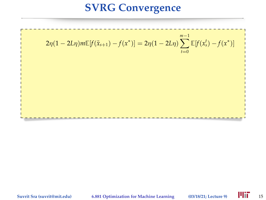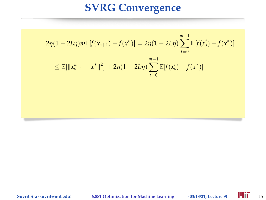$$
2\eta(1 - 2L\eta)m\mathbb{E}[f(\tilde{x}_{s+1}) - f(x^*)] = 2\eta(1 - 2L\eta)\sum_{t=0}^{m-1}\mathbb{E}[f(x_s^t) - f(x^*)]
$$
  

$$
\leq \mathbb{E}[\|x_{s+1}^m - x^*\|^2] + 2\eta(1 - 2L\eta)\sum_{t=0}^{m-1}\mathbb{E}[f(x_s^t) - f(x^*)]
$$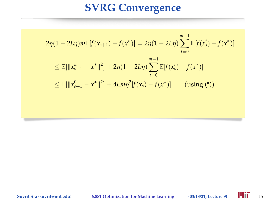$$
2\eta(1 - 2L\eta)m\mathbb{E}[f(\tilde{x}_{s+1}) - f(x^*)] = 2\eta(1 - 2L\eta)\sum_{t=0}^{m-1}\mathbb{E}[f(x_s^t) - f(x^*)]
$$
  
\n
$$
\leq \mathbb{E}[\|x_{s+1}^m - x^*\|^2] + 2\eta(1 - 2L\eta)\sum_{t=0}^{m-1}\mathbb{E}[f(x_s^t) - f(x^*)]
$$
  
\n
$$
\leq \mathbb{E}[\|x_{s+1}^0 - x^*\|^2] + 4Lm\eta^2[f(\tilde{x}_s) - f(x^*)] \qquad \text{(using (*))}
$$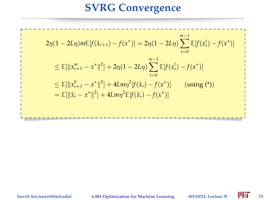$$
2\eta(1 - 2L\eta)m\mathbb{E}[f(\tilde{x}_{s+1}) - f(x^*)] = 2\eta(1 - 2L\eta)\sum_{t=0}^{m-1}\mathbb{E}[f(x_s^t) - f(x^*)]
$$
  
\n
$$
\leq \mathbb{E}[\|x_{s+1}^m - x^*\|^2] + 2\eta(1 - 2L\eta)\sum_{t=0}^{m-1}\mathbb{E}[f(x_s^t) - f(x^*)]
$$
  
\n
$$
\leq \mathbb{E}[\|x_{s+1}^0 - x^*\|^2] + 4Lm\eta^2[f(\tilde{x}_s) - f(x^*)]
$$
 (using (\*))  
\n
$$
= \mathbb{E}[\|\tilde{x}_s - x^*\|^2] + 4Lm\eta^2\mathbb{E}[f(\tilde{x}_s) - f(x^*)]
$$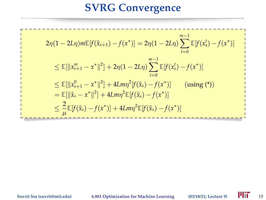$$
2\eta(1 - 2L\eta)m\mathbb{E}[f(\tilde{x}_{s+1}) - f(x^*)] = 2\eta(1 - 2L\eta)\sum_{t=0}^{m-1}\mathbb{E}[f(x_s^t) - f(x^*)]
$$
  
\n
$$
\leq \mathbb{E}[\|x_{s+1}^m - x^*\|^2] + 2\eta(1 - 2L\eta)\sum_{t=0}^{m-1}\mathbb{E}[f(x_s^t) - f(x^*)]
$$
  
\n
$$
\leq \mathbb{E}[\|x_{s+1}^0 - x^*\|^2] + 4Lm\eta^2[f(\tilde{x}_s) - f(x^*)] \quad \text{(using (*)})
$$
  
\n
$$
= \mathbb{E}[\|\tilde{x}_s - x^*\|^2] + 4Lm\eta^2\mathbb{E}[f(\tilde{x}_s) - f(x^*)]
$$
  
\n
$$
\leq \frac{2}{\mu}\mathbb{E}[f(\tilde{x}_s) - f(x^*)] + 4Lm\eta^2\mathbb{E}[f(\tilde{x}_s) - f(x^*)]
$$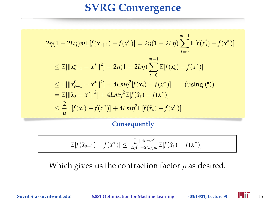$$
2\eta(1 - 2L\eta)m\mathbb{E}[f(\tilde{x}_{s+1}) - f(x^*)] = 2\eta(1 - 2L\eta)\sum_{t=0}^{m-1}\mathbb{E}[f(x_s^t) - f(x^*)]
$$
  
\n
$$
\leq \mathbb{E}[\|x_{s+1}^m - x^*\|^2] + 2\eta(1 - 2L\eta)\sum_{t=0}^{m-1}\mathbb{E}[f(x_s^t) - f(x^*)]
$$
  
\n
$$
\leq \mathbb{E}[\|x_{s+1}^0 - x^*\|^2] + 4Lm\eta^2[f(\tilde{x}_s) - f(x^*)] \quad \text{(using (*)})
$$
  
\n
$$
= \mathbb{E}[\|\tilde{x}_s - x^*\|^2] + 4Lm\eta^2\mathbb{E}[f(\tilde{x}_s) - f(x^*)]
$$
  
\n
$$
\leq \frac{2}{\mu}\mathbb{E}[f(\tilde{x}_s) - f(x^*)] + 4Lm\eta^2\mathbb{E}[f(\tilde{x}_s) - f(x^*)]
$$
  
\nConsequently

$$
\mathbb{E}[f(\tilde{x}_{s+1})-f(x^*)] \leq \frac{\frac{2}{\mu}+4Lmn^2}{2\eta(1-2L\eta)m}\mathbb{E}[f(\tilde{x}_s)-f(x^*)]
$$

Which gives us the contraction factor  $\rho$  as desired.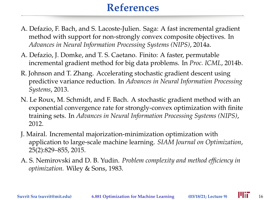## **References**

- A. Defazio, F. Bach, and S. Lacoste-Julien. Saga: A fast incremental gradient method with support for non-strongly convex composite objectives. In *Advances in Neural Information Processing Systems (NIPS)*, 2014a.
- A. Defazio, J. Domke, and T. S. Caetano. Finito: A faster, permutable incremental gradient method for big data problems. In *Proc. ICML*, 2014b.
- R. Johnson and T. Zhang. Accelerating stochastic gradient descent using predictive variance reduction. In *Advances in Neural Information Processing Systems*, 2013.
- N. Le Roux, M. Schmidt, and F. Bach. A stochastic gradient method with an exponential convergence rate for strongly-convex optimization with finite training sets. In *Advances in Neural Information Processing Systems (NIPS)*, 2012.
- J. Mairal. Incremental majorization-minimization optimization with application to large-scale machine learning. *SIAM Journal on Optimization*, 25(2):829–855, 2015.
- A. S. Nemirovski and D. B. Yudin. *Problem complexity and method efficiency in optimization.* Wiley & Sons, 1983.